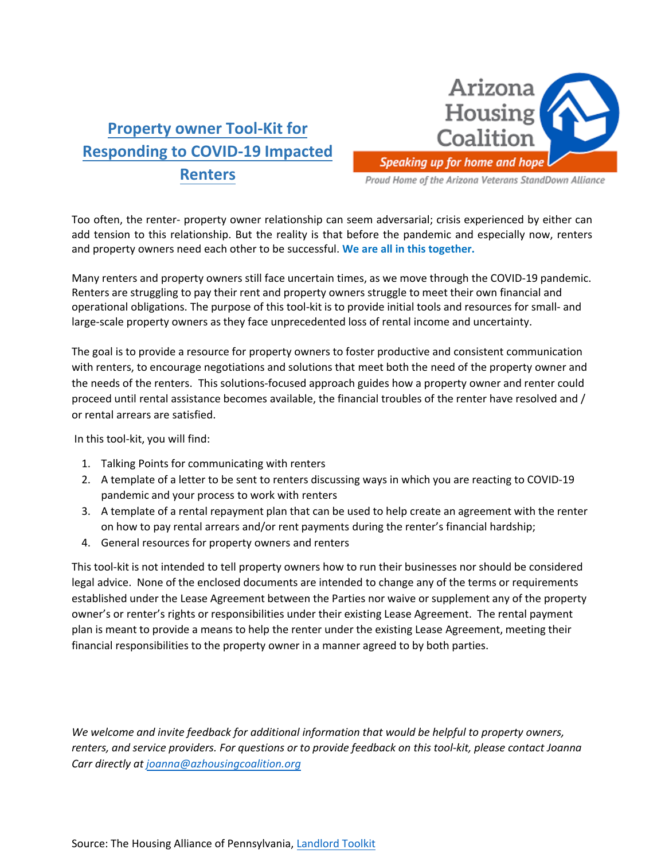# **Property owner Tool-Kit for Responding to COVID-19 Impacted Renters**



Proud Home of the Arizona Veterans StandDown Alliance

Too often, the renter- property owner relationship can seem adversarial; crisis experienced by either can add tension to this relationship. But the reality is that before the pandemic and especially now, renters and property owners need each other to be successful. **We are all in this together.**

Many renters and property owners still face uncertain times, as we move through the COVID-19 pandemic. Renters are struggling to pay their rent and property owners struggle to meet their own financial and operational obligations. The purpose of this tool-kit is to provide initial tools and resources for small- and large-scale property owners as they face unprecedented loss of rental income and uncertainty.

The goal is to provide a resource for property owners to foster productive and consistent communication with renters, to encourage negotiations and solutions that meet both the need of the property owner and the needs of the renters. This solutions-focused approach guides how a property owner and renter could proceed until rental assistance becomes available, the financial troubles of the renter have resolved and / or rental arrears are satisfied.

In this tool-kit, you will find:

- 1. Talking Points for communicating with renters
- 2. A template of a letter to be sent to renters discussing ways in which you are reacting to COVID-19 pandemic and your process to work with renters
- 3. A template of a rental repayment plan that can be used to help create an agreement with the renter on how to pay rental arrears and/or rent payments during the renter's financial hardship;
- 4. General resources for property owners and renters

This tool-kit is not intended to tell property owners how to run their businesses nor should be considered legal advice. None of the enclosed documents are intended to change any of the terms or requirements established under the Lease Agreement between the Parties nor waive or supplement any of the property owner's or renter's rights or responsibilities under their existing Lease Agreement. The rental payment plan is meant to provide a means to help the renter under the existing Lease Agreement, meeting their financial responsibilities to the property owner in a manner agreed to by both parties.

*We welcome and invite feedback for additional information that would be helpful to property owners, renters, and service providers. For questions or to provide feedback on this tool-kit, please contact Joanna Carr directly at [joanna@azhousingcoalition.org](mailto:joanna@azhousingcoalition.org)*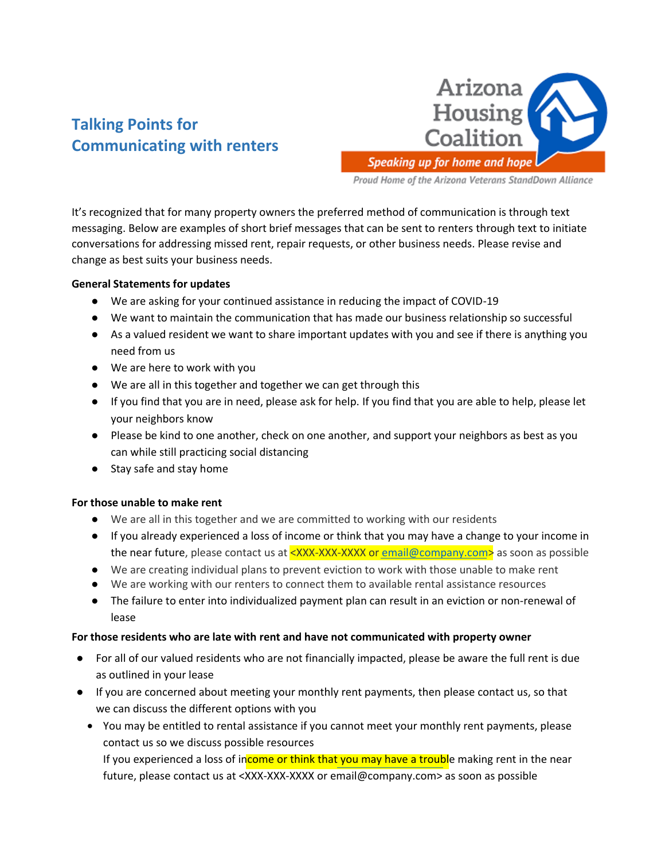## **Talking Points for Communicating with renters**



Proud Home of the Arizona Veterans StandDown Alliance

It's recognized that for many property owners the preferred method of communication is through text messaging. Below are examples of short brief messages that can be sent to renters through text to initiate conversations for addressing missed rent, repair requests, or other business needs. Please revise and change as best suits your business needs.

## **General Statements for updates**

- We are asking for your continued assistance in reducing the impact of COVID-19
- We want to maintain the communication that has made our business relationship so successful
- As a valued resident we want to share important updates with you and see if there is anything you need from us
- We are here to work with you
- We are all in this together and together we can get through this
- If you find that you are in need, please ask for help. If you find that you are able to help, please let your neighbors know
- Please be kind to one another, check on one another, and support your neighbors as best as you can while still practicing social distancing
- Stay safe and stay home

## **For those unable to make rent**

- We are all in this together and we are committed to working with our residents
- If you already experienced a loss of income or think that you may have a change to your income in the near future, please contact us at  $\langle$ XXX-XXX-XXXX o[r email@company.com>](mailto:email@company.com) as soon as possible
- We are creating individual plans to prevent eviction to work with those unable to make rent
- We are working with our renters to connect them to available rental assistance resources
- The failure to enter into individualized payment plan can result in an eviction or non-renewal of lease

## **For those residents who are late with rent and have not communicated with property owner**

- For all of our valued residents who are not financially impacted, please be aware the full rent is due as outlined in your lease
- If you are concerned about meeting your monthly rent payments, then please contact us, so that we can discuss the different options with you
	- You may be entitled to rental assistance if you cannot meet your monthly rent payments, please contact us so we discuss possible resources If you experienced a loss of income or think that you may have a trouble making rent in the near future, please contact us at <XXX-XXX-XXXX or email@company.com> as soon as possible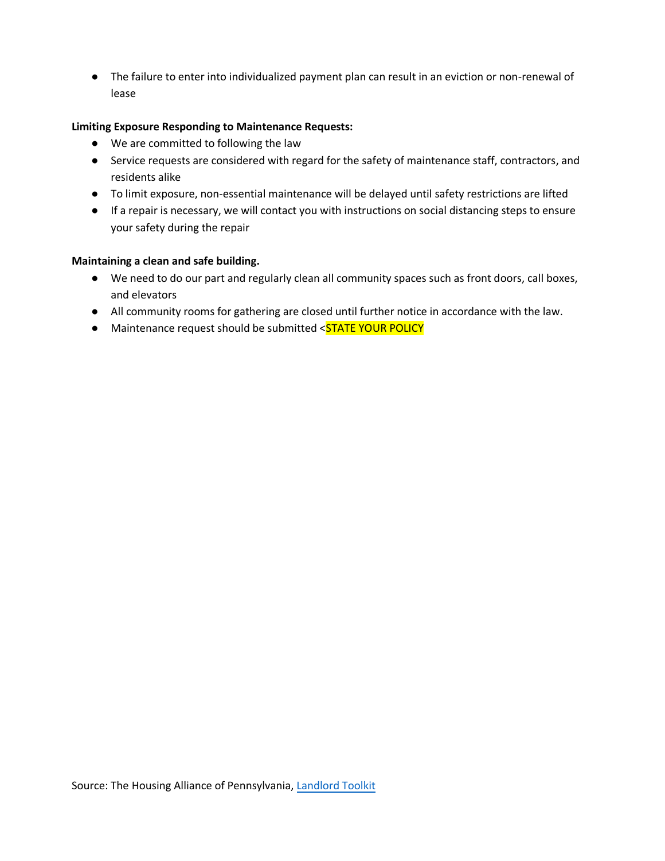● The failure to enter into individualized payment plan can result in an eviction or non-renewal of lease

## **Limiting Exposure Responding to Maintenance Requests:**

- We are committed to following the law
- Service requests are considered with regard for the safety of maintenance staff, contractors, and residents alike
- To limit exposure, non-essential maintenance will be delayed until safety restrictions are lifted
- If a repair is necessary, we will contact you with instructions on social distancing steps to ensure your safety during the repair

## **Maintaining a clean and safe building.**

- We need to do our part and regularly clean all community spaces such as front doors, call boxes, and elevators
- All community rooms for gathering are closed until further notice in accordance with the law.
- Maintenance request should be submitted <STATE YOUR POLICY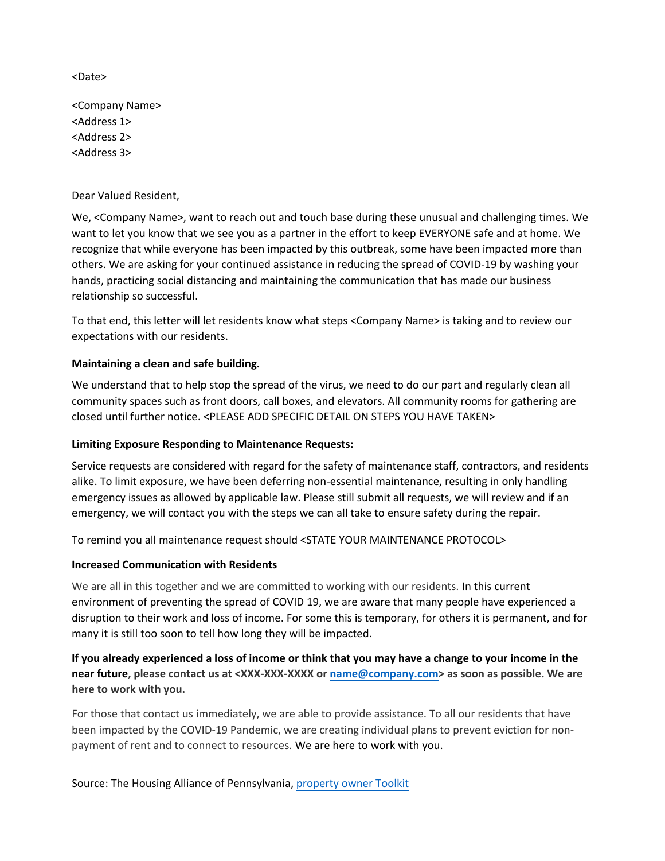<Date>

<Company Name> <Address 1> <Address 2> <Address 3>

Dear Valued Resident,

We, <Company Name>, want to reach out and touch base during these unusual and challenging times. We want to let you know that we see you as a partner in the effort to keep EVERYONE safe and at home. We recognize that while everyone has been impacted by this outbreak, some have been impacted more than others. We are asking for your continued assistance in reducing the spread of COVID-19 by washing your hands, practicing social distancing and maintaining the communication that has made our business relationship so successful.

To that end, this letter will let residents know what steps <Company Name> is taking and to review our expectations with our residents.

## **Maintaining a clean and safe building.**

We understand that to help stop the spread of the virus, we need to do our part and regularly clean all community spaces such as front doors, call boxes, and elevators. All community rooms for gathering are closed until further notice. <PLEASE ADD SPECIFIC DETAIL ON STEPS YOU HAVE TAKEN>

## **Limiting Exposure Responding to Maintenance Requests:**

Service requests are considered with regard for the safety of maintenance staff, contractors, and residents alike. To limit exposure, we have been deferring non-essential maintenance, resulting in only handling emergency issues as allowed by applicable law. Please still submit all requests, we will review and if an emergency, we will contact you with the steps we can all take to ensure safety during the repair.

To remind you all maintenance request should <STATE YOUR MAINTENANCE PROTOCOL>

## **Increased Communication with Residents**

We are all in this together and we are committed to working with our residents. In this current environment of preventing the spread of COVID 19, we are aware that many people have experienced a disruption to their work and loss of income. For some this is temporary, for others it is permanent, and for many it is still too soon to tell how long they will be impacted.

**If you already experienced a loss of income or think that you may have a change to your income in the near future, please contact us at <XXX-XXX-XXXX or name@company.com> as soon as possible. We are here to work with you.**

For those that contact us immediately, we are able to provide assistance. To all our residents that have been impacted by the COVID-19 Pandemic, we are creating individual plans to prevent eviction for nonpayment of rent and to connect to resources. We are here to work with you.

Source: The Housing Alliance of Pennsylvania, property owner Toolkit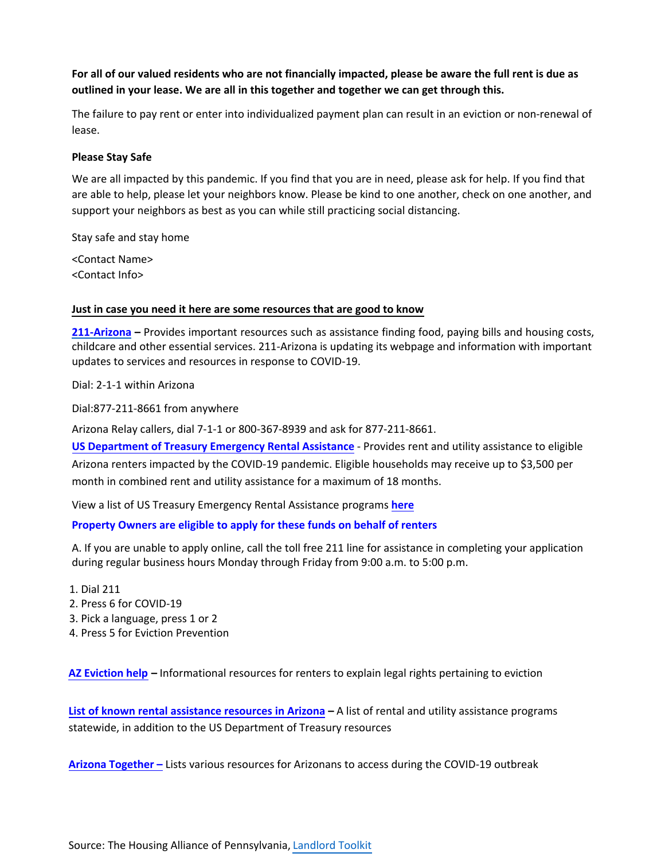## **For all of our valued residents who are not financially impacted, please be aware the full rent is due as outlined in your lease. We are all in this together and together we can get through this.**

The failure to pay rent or enter into individualized payment plan can result in an eviction or non-renewal of lease.

#### **Please Stay Safe**

We are all impacted by this pandemic. If you find that you are in need, please ask for help. If you find that are able to help, please let your neighbors know. Please be kind to one another, check on one another, and support your neighbors as best as you can while still practicing social distancing.

Stay safe and stay home

<Contact Name> <Contact Info>

#### **Just in case you need it here are some resources that are good to know**

**[211-Arizona](https://211arizona.org/) –** Provides important resources such as assistance finding food, paying bills and housing costs, childcare and other essential services. 211-Arizona is updating its webpage and information with important updates to services and resources in response to COVID-19.

Dial: 2-1-1 within Arizona

Dial:877-211-8661 from anywhere

Arizona Relay callers, dial 7-1-1 or 800-367-8939 and ask for 877-211-8661.

**[US Department of Treasury Emergency Rental Assistance](https://home.treasury.gov/policy-issues/coronavirus/assistance-for-state-local-and-tribal-governments/emergency-rental-assistance-program)** - Provides rent and utility assistance to eligible Arizona renters impacted by the COVID-19 pandemic. Eligible households may receive up to \$3,500 per month in combined rent and utility assistance for a maximum of 18 months.

View a list of US Treasury Emergency Rental Assistance programs **[here](https://www.azhousingcoalition.org/housinginstability.html)** 

## **[Property Owners are eligible to apply for these funds on behalf of renters](https://www.azhousingcoalition.org/housinginstability.html)**

A. If you are unable to apply online, call the toll free 211 line for assistance in completing your application during regular business hours Monday through Friday from 9:00 a.m. to 5:00 p.m.

- 1. Dial 211 2. Press 6 for COVID-19
- 3. Pick a language, press 1 or 2
- 4. Press 5 for Eviction Prevention

**AZ [Eviction](https://azevictionhelp.org/) help –** Informational resources for renters to explain legal rights pertaining to eviction

**[List of known rental assistance resources in Arizona](https://docs.google.com/document/d/1nl6IpMBiDOZ2DWNXzNW9Z-ryKkFa2qAvYH337h3_1qs/edit?usp=sharing) – A list of rental and utility assistance programs** statewide, in addition to the US Department of Treasury resources

**[Arizona Together –](https://arizonatogether.org/)** Lists various resources for Arizonans to access during the COVID-19 outbreak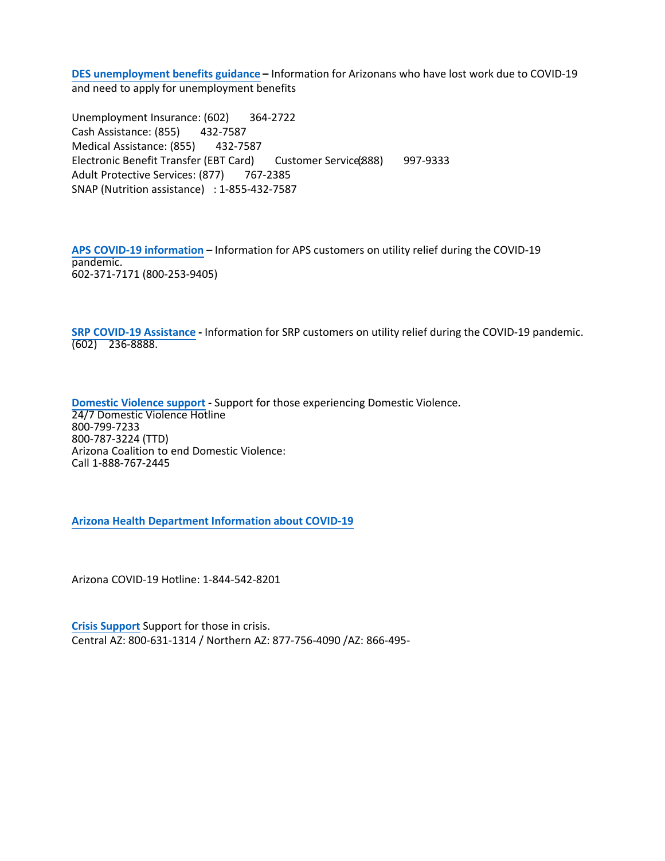**DES unemployment [benefits guidance](https://des.az.gov/) –** Information for Arizonans who have lost work due to COVID-19 and need to apply for unemployment benefits

Unemployment Insurance: (602) 364-2722 Cash Assistance: (855) 432-7587 Medical Assistance: (855) 432-7587 Electronic Benefit Transfer (EBT Card) Customer Service(888) 997-9333 Adult Protective Services: (877) 767-2385 SNAP (Nutrition assistance) : 1-855-432-7587

**APS [COVID-19 information](https://www.aps.com/en/About/Our-Company/Our-Commitment-to-Safety/COVID-19)** – Information for APS customers on utility relief during the COVID-19 pandemic. 602-371-7171 (800-253-9405)

**SRP [COVID-19 Assistance](https://www.srpnet.com/community/assistance_programs.aspx) -** Information for SRP customers on utility relief during the COVID-19 pandemic. (602) 236-8888.

**[Domestic](https://www.acesdv.org/helpline/) Violence support -** Support for those experiencing Domestic Violence. 24/7 Domestic Violence Hotline 800-799-7233 800-787-3224 (TTD) Arizona Coalition to end Domestic Violence: Call 1-888-767-2445

**Arizona Health [Department](https://www.azdhs.gov/) Information about COVID-19**

Arizona COVID-19 Hotline: 1-844-542-8201

**Crisis [Support](https://www.azahcccs.gov/BehavioralHealth/crisis.html)** Support for those in crisis. Central AZ: 800-631-1314 / Northern AZ: 877-756-4090 /AZ: 866-495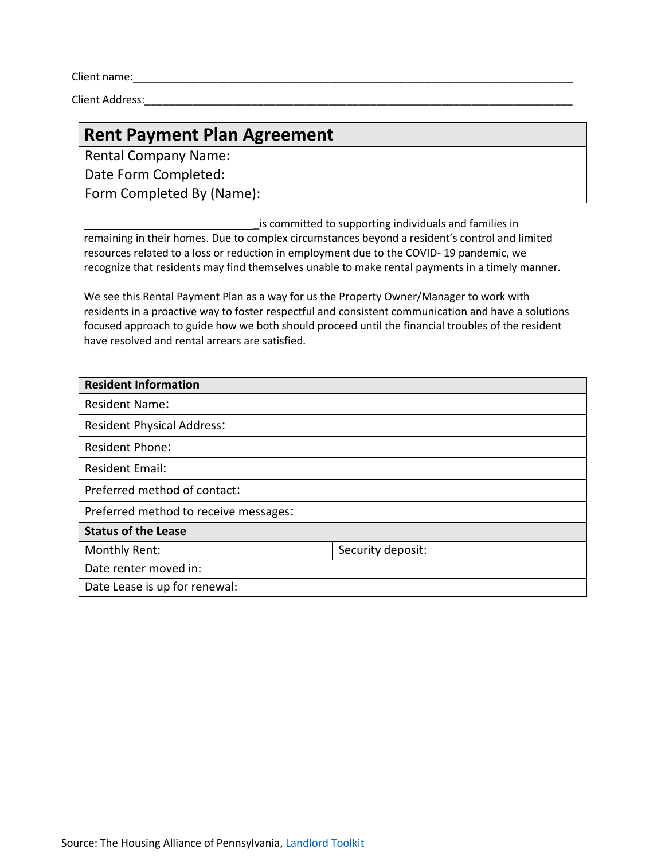Client name:\_\_\_\_\_\_\_\_\_\_\_\_\_\_\_\_\_\_\_\_\_\_\_\_\_\_\_\_\_\_\_\_\_\_\_\_\_\_\_\_\_\_\_\_\_\_\_\_\_\_\_\_\_\_\_\_\_\_\_\_\_\_\_\_\_\_\_\_\_\_\_\_\_\_

Client Address:

## **Rent Payment Plan Agreement**

Rental Company Name:

Date Form Completed:

Form Completed By (Name):

is committed to supporting individuals and families in remaining in their homes. Due to complex circumstances beyond a resident's control and limited resources related to a loss or reduction in employment due to the COVID- 19 pandemic, we recognize that residents may find themselves unable to make rental payments in a timely manner.

We see this Rental Payment Plan as a way for us the Property Owner/Manager to work with residents in a proactive way to foster respectful and consistent communication and have a solutions focused approach to guide how we both should proceed until the financial troubles of the resident have resolved and rental arrears are satisfied.

| <b>Resident Information</b>           |                   |  |  |  |
|---------------------------------------|-------------------|--|--|--|
| <b>Resident Name:</b>                 |                   |  |  |  |
| <b>Resident Physical Address:</b>     |                   |  |  |  |
| <b>Resident Phone:</b>                |                   |  |  |  |
| <b>Resident Email:</b>                |                   |  |  |  |
| Preferred method of contact:          |                   |  |  |  |
| Preferred method to receive messages: |                   |  |  |  |
| <b>Status of the Lease</b>            |                   |  |  |  |
| Monthly Rent:                         | Security deposit: |  |  |  |
| Date renter moved in:                 |                   |  |  |  |
| Date Lease is up for renewal:         |                   |  |  |  |
|                                       |                   |  |  |  |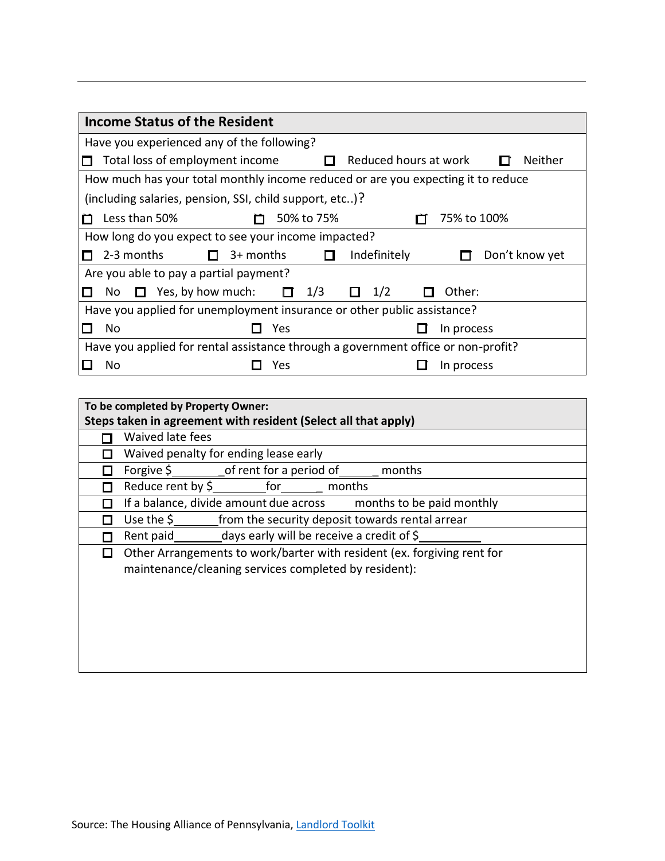|                                                                                   | <b>Income Status of the Resident</b>                    |  |                                                     |   |     |            |                       |              |             |                |
|-----------------------------------------------------------------------------------|---------------------------------------------------------|--|-----------------------------------------------------|---|-----|------------|-----------------------|--------------|-------------|----------------|
|                                                                                   | Have you experienced any of the following?              |  |                                                     |   |     |            |                       |              |             |                |
| П                                                                                 | Total loss of employment income                         |  |                                                     | П |     |            | Reduced hours at work | Neither      |             |                |
| How much has your total monthly income reduced or are you expecting it to reduce  |                                                         |  |                                                     |   |     |            |                       |              |             |                |
|                                                                                   | (including salaries, pension, SSI, child support, etc)? |  |                                                     |   |     |            |                       |              |             |                |
| П                                                                                 | Less than 50%                                           |  |                                                     |   |     | 50% to 75% |                       |              | 75% to 100% |                |
|                                                                                   |                                                         |  | How long do you expect to see your income impacted? |   |     |            |                       |              |             |                |
| П                                                                                 | 2-3 months                                              |  | $3+$ months                                         |   |     |            |                       | Indefinitely |             | Don't know yet |
|                                                                                   |                                                         |  | Are you able to pay a partial payment?              |   |     |            |                       |              |             |                |
|                                                                                   | No.                                                     |  | Yes, by how much:                                   |   | П   | 1/3        |                       | 1/2          | Other:      |                |
| Have you applied for unemployment insurance or other public assistance?           |                                                         |  |                                                     |   |     |            |                       |              |             |                |
|                                                                                   | No                                                      |  |                                                     |   | Yes |            |                       |              | In process  |                |
| Have you applied for rental assistance through a government office or non-profit? |                                                         |  |                                                     |   |     |            |                       |              |             |                |
|                                                                                   | No                                                      |  |                                                     |   | Yes |            |                       |              | In process  |                |

| To be completed by Property Owner:                             |                                                                         |  |  |  |  |  |
|----------------------------------------------------------------|-------------------------------------------------------------------------|--|--|--|--|--|
| Steps taken in agreement with resident (Select all that apply) |                                                                         |  |  |  |  |  |
|                                                                | Waived late fees                                                        |  |  |  |  |  |
|                                                                | Waived penalty for ending lease early                                   |  |  |  |  |  |
|                                                                | Forgive $\sin \theta$ frent for a period of<br>months                   |  |  |  |  |  |
|                                                                | Reduce rent by \$<br>for<br>months                                      |  |  |  |  |  |
|                                                                | If a balance, divide amount due across<br>months to be paid monthly     |  |  |  |  |  |
|                                                                | from the security deposit towards rental arrear<br>Use the $\zeta$      |  |  |  |  |  |
|                                                                | days early will be receive a credit of \$<br>Rent paid                  |  |  |  |  |  |
|                                                                | Other Arrangements to work/barter with resident (ex. forgiving rent for |  |  |  |  |  |
|                                                                | maintenance/cleaning services completed by resident):                   |  |  |  |  |  |
|                                                                |                                                                         |  |  |  |  |  |
|                                                                |                                                                         |  |  |  |  |  |
|                                                                |                                                                         |  |  |  |  |  |
|                                                                |                                                                         |  |  |  |  |  |
|                                                                |                                                                         |  |  |  |  |  |
|                                                                |                                                                         |  |  |  |  |  |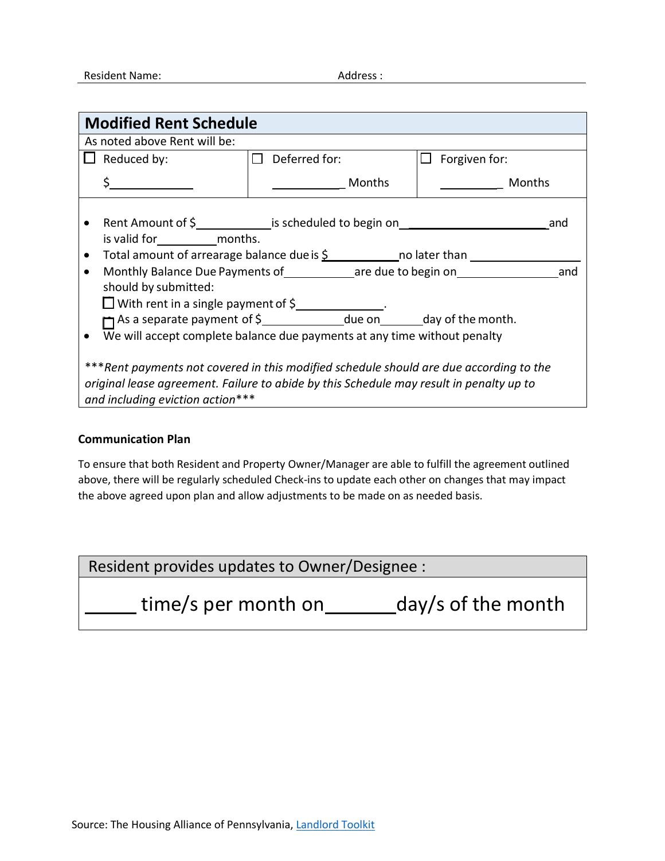| <b>Modified Rent Schedule</b>                                                                                                                                                                                         |                                                                                                                                                                                                                                              |                         |               |  |  |  |  |
|-----------------------------------------------------------------------------------------------------------------------------------------------------------------------------------------------------------------------|----------------------------------------------------------------------------------------------------------------------------------------------------------------------------------------------------------------------------------------------|-------------------------|---------------|--|--|--|--|
|                                                                                                                                                                                                                       | As noted above Rent will be:                                                                                                                                                                                                                 |                         |               |  |  |  |  |
|                                                                                                                                                                                                                       | Reduced by:                                                                                                                                                                                                                                  | Deferred for:<br>$\Box$ | Forgiven for: |  |  |  |  |
|                                                                                                                                                                                                                       |                                                                                                                                                                                                                                              | Months                  | Months        |  |  |  |  |
|                                                                                                                                                                                                                       | Rent Amount of \$ 1.1 [10] is scheduled to begin on Solomon Contains and the scheduled to begin on Solomon Contains and the scheduled to begin on Solomon Contains and the scheduled to begin on<br>and<br>is valid for months.              |                         |               |  |  |  |  |
|                                                                                                                                                                                                                       | Total amount of arrearage balance due is $\underline{\mathsf{S}}$ _______________ no later than<br>Monthly Balance Due Payments of _____________ are due to begin on<br>and<br>should by submitted:<br>□ With rent in a single payment of \$ |                         |               |  |  |  |  |
|                                                                                                                                                                                                                       | As a separate payment of \$_______________due on________day of the month.                                                                                                                                                                    |                         |               |  |  |  |  |
| We will accept complete balance due payments at any time without penalty                                                                                                                                              |                                                                                                                                                                                                                                              |                         |               |  |  |  |  |
| ***Rent payments not covered in this modified schedule should are due according to the<br>original lease agreement. Failure to abide by this Schedule may result in penalty up to<br>and including eviction action*** |                                                                                                                                                                                                                                              |                         |               |  |  |  |  |

## **Communication Plan**

To ensure that both Resident and Property Owner/Manager are able to fulfill the agreement outlined above, there will be regularly scheduled Check-ins to update each other on changes that may impact the above agreed upon plan and allow adjustments to be made on as needed basis.

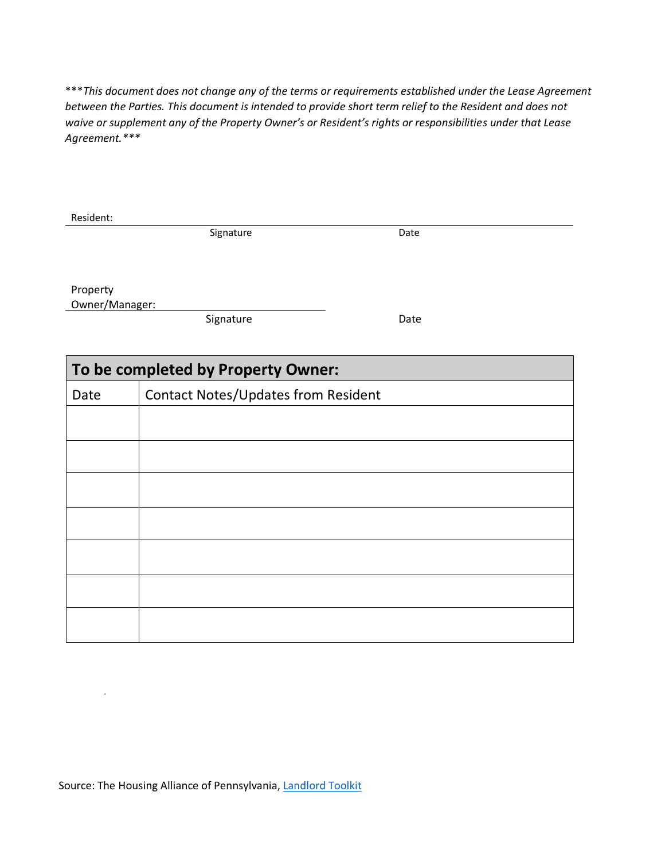\*\*\**This document does not change any of the terms or requirements established under the Lease Agreement between the Parties. This document is intended to provide short term relief to the Resident and does not waive or supplement any of the Property Owner's or Resident's rights or responsibilities under that Lease Agreement.\*\*\** 

| Resident:      |                                            |      |  |  |  |
|----------------|--------------------------------------------|------|--|--|--|
|                | Signature                                  | Date |  |  |  |
| Property       |                                            |      |  |  |  |
| Owner/Manager: |                                            |      |  |  |  |
|                | Signature                                  | Date |  |  |  |
|                |                                            |      |  |  |  |
|                | To be completed by Property Owner:         |      |  |  |  |
| Date           | <b>Contact Notes/Updates from Resident</b> |      |  |  |  |
|                |                                            |      |  |  |  |
|                |                                            |      |  |  |  |
|                |                                            |      |  |  |  |
|                |                                            |      |  |  |  |
|                |                                            |      |  |  |  |
|                |                                            |      |  |  |  |
|                |                                            |      |  |  |  |

Source: The Housing Alliance of Pennsylvania[, Landlord Toolkit](https://housingalliancepa.org/wp-content/uploads/2020/04/COVID-19_Landlord_Tool-Kit.pdf)

.